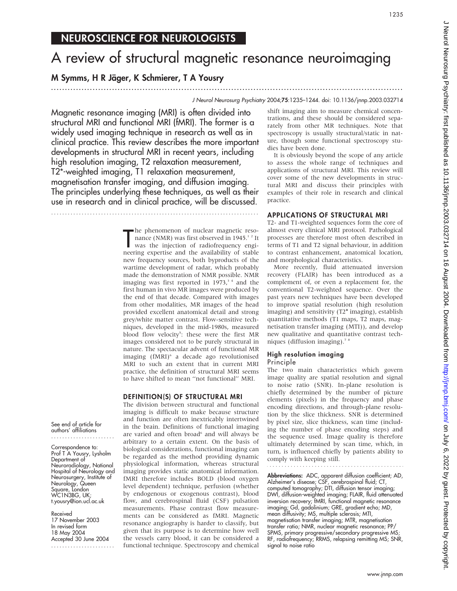# NEUROSCIENCE FOR NEUROLOGISTS

# A review of structural magnetic resonance neuroimaging

...............................................................................................................................

# M Symms, H R Jäger, K Schmierer, T A Yousry

# J Neurol Neurosurg Psychiatry 2004;75:1235–1244. doi: 10.1136/jnnp.2003.032714

Magnetic resonance imaging (MRI) is often divided into structural MRI and functional MRI (fMRI). The former is a widely used imaging technique in research as well as in clinical practice. This review describes the more important developments in structural MRI in recent years, including high resolution imaging, T2 relaxation measurement, T2\*-weighted imaging, T1 relaxation measurement, magnetisation transfer imaging, and diffusion imaging. The principles underlying these techniques, as well as their use in research and in clinical practice, will be discussed.

...........................................................................

The phenomenon of nuclear magnetic reso-<br>nance (NMR) was first observed in 1945.<sup>12</sup> It<br>was the injection of radiofrequency engi-<br>neering expertise and the availability of stable he phenomenon of nuclear magnetic resonance (NMR) was first observed in 1945.<sup>12</sup> It was the injection of radiofrequency enginew frequency sources, both byproducts of the wartime development of radar, which probably made the demonstration of NMR possible. NMR imaging was first reported in  $1973$ ,<sup>34</sup> and the first human in vivo MR images were produced by the end of that decade. Compared with images from other modalities, MR images of the head provided excellent anatomical detail and strong grey/white matter contrast. Flow-sensitive techniques, developed in the mid-1980s, measured blood flow velocity<sup>5</sup>: these were the first MR images considered not to be purely structural in nature. The spectacular advent of functional MR imaging (fMRI)<sup>6</sup> a decade ago revolutionised MRI to such an extent that in current MRI practice, the definition of structural MRI seems to have shifted to mean ''not functional'' MRI.

#### DEFINITION(S) OF STRUCTURAL MRI

The division between structural and functional imaging is difficult to make because structure and function are often inextricably intertwined in the brain. Definitions of functional imaging are varied and often broad<sup>6</sup> and will always be arbitrary to a certain extent. On the basis of biological considerations, functional imaging can be regarded as the method providing dynamic physiological information, whereas structural imaging provides static anatomical information. fMRI therefore includes BOLD (blood oxygen level dependent) technique, perfusion (whether by endogenous or exogenous contrast), blood flow, and cerebrospinal fluid (CSF) pulsation measurements. Phase contrast flow measurements can be considered as fMRI. Magnetic resonance angiography is harder to classify, but given that its purpose is to determine how well the vessels carry blood, it can be considered a functional technique. Spectroscopy and chemical

shift imaging aim to measure chemical concentrations, and these should be considered separately from other MR techniques. Note that spectroscopy is usually structural/static in nature, though some functional spectroscopy studies have been done.

It is obviously beyond the scope of any article to assess the whole range of techniques and applications of structural MRI. This review will cover some of the new developments in structural MRI and discuss their principles with examples of their role in research and clinical practice.

#### APPLICATIONS OF STRUCTURAL MRI

T2- and T1-weighted sequences form the core of almost every clinical MRI protocol. Pathological processes are therefore most often described in terms of T1 and T2 signal behaviour, in addition to contrast enhancement, anatomical location, and morphological characteristics.

More recently, fluid attenuated inversion recovery (FLAIR) has been introduced as a complement of, or even a replacement for, the conventional T2-weighted sequence. Over the past years new techniques have been developed to improve spatial resolution (high resolution imaging) and sensitivity (T2\* imaging), establish quantitative methods (T1 maps, T2 maps, magnetisation transfer imaging (MTI)), and develop new qualitative and quantitative contrast techniques (diffusion imaging).7 8

#### High resolution imaging Principle

The two main characteristics which govern image quality are spatial resolution and signal to noise ratio (SNR). In-plane resolution is chiefly determined by the number of picture elements (pixels) in the frequency and phase encoding directions, and through-plane resolution by the slice thickness. SNR is determined by pixel size, slice thickness, scan time (including the number of phase encoding steps) and the sequence used. Image quality is therefore ultimately determined by scan time, which, in turn, is influenced chiefly by patients ability to comply with keeping still.

Abbreviations: ADC, apparent diffusion coefficient; AD, Alzheimer's disease; CSF, cerebrospinal fluid; CT, computed tomography; DTI, diffusion tensor imaging; DWI, diffusion-weighted imaging; FLAIR, fluid attenuated inversion recovery; fMRI, functional magnetic resonance imaging; Gd, gadolinium; GRE, gradient echo; MD, mean diffusivity; MS, multiple sclerosis; MTI, magnetisation transfer imaging; MTR, magnetisation transfer ratio; NMR, nuclear magnetic resonance; PP/ SPMS, primary progressive/secondary progressive MS; RF, radiofrequency; RRMS, relapsing remitting MS; SNR, signal to noise ratio

See end of article for authors' affiliations

.......................

Correspondence to: Prof T A Yousry, Lysholm Department of Neuroradiology, National Hospital of Neurology and Neurosurgery, Institute of Neurology, Queen Square, London WC1N3BG, UK; t.yousry@ion.ucl.ac.uk

Received 17 November 2003 In revised form 18 May 2004 Accepted 30 June 2004 .......................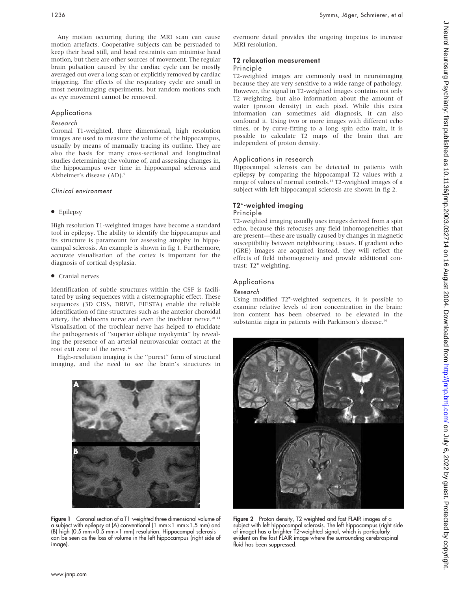Any motion occurring during the MRI scan can cause motion artefacts. Cooperative subjects can be persuaded to keep their head still, and head restraints can minimise head motion, but there are other sources of movement. The regular brain pulsation caused by the cardiac cycle can be mostly averaged out over a long scan or explicitly removed by cardiac triggering. The effects of the respiratory cycle are small in most neuroimaging experiments, but random motions such as eye movement cannot be removed.

# **Applications**

#### Research

Coronal T1-weighted, three dimensional, high resolution images are used to measure the volume of the hippocampus, usually by means of manually tracing its outline. They are also the basis for many cross-sectional and longitudinal studies determining the volume of, and assessing changes in, the hippocampus over time in hippocampal sclerosis and Alzheimer's disease (AD).9

#### Clinical environment

#### $\bullet$  Epilepsy

High resolution T1-weighted images have become a standard tool in epilepsy. The ability to identify the hippocampus and its structure is paramount for assessing atrophy in hippocampal sclerosis. An example is shown in fig 1. Furthermore, accurate visualisation of the cortex is important for the diagnosis of cortical dysplasia.

#### • Cranial nerves

Identification of subtle structures within the CSF is facilitated by using sequences with a cisternographic effect. These sequences (3D CISS, DRIVE, FIESTA) enable the reliable identification of fine structures such as the anterior choroidal artery, the abducens nerve and even the trochlear nerve.<sup>10 11</sup> Visualisation of the trochlear nerve has helped to elucidate the pathogenesis of ''superior oblique myokymia'' by revealing the presence of an arterial neurovascular contact at the root exit zone of the nerve.<sup>12</sup>

High-resolution imaging is the ''purest'' form of structural imaging, and the need to see the brain's structures in



Figure 1 Coronal section of a T1-weighted three dimensional volume of a subject with epilepsy at (A) conventional (1 mm $\times1$  mm $\times1.5$  mm) and (B) high (0.5 mm×0.5 mm×1 mm) resolution. Hippocampal sclerosis can be seen as the loss of volume in the left hippocampus (right side of image).

evermore detail provides the ongoing impetus to increase MRI resolution.

# T2 relaxation measurement Principle

T2-weighted images are commonly used in neuroimaging because they are very sensitive to a wide range of pathology. However, the signal in T2-weighted images contains not only T2 weighting, but also information about the amount of water (proton density) in each pixel. While this extra information can sometimes aid diagnosis, it can also confound it. Using two or more images with different echo times, or by curve-fitting to a long spin echo train, it is possible to calculate T2 maps of the brain that are independent of proton density.

# Applications in research

Hippocampal sclerosis can be detected in patients with epilepsy by comparing the hippocampal T2 values with a range of values of normal controls.13 T2-weighted images of a subject with left hippocampal sclerosis are shown in fig 2.

# T2\*-weighted imaging

# Principle

T2-weighted imaging usually uses images derived from a spin echo, because this refocuses any field inhomogeneities that are present—these are usually caused by changes in magnetic susceptibility between neighbouring tissues. If gradient echo (GRE) images are acquired instead, they will reflect the effects of field inhomogeneity and provide additional contrast: T2\* weighting.

# **Applications**

#### Research

Using modified T2\*-weighted sequences, it is possible to examine relative levels of iron concentration in the brain: iron content has been observed to be elevated in the substantia nigra in patients with Parkinson's disease.<sup>14</sup>



Figure 2 Proton density, T2-weighted and fast FLAIR images of a subject with left hippocampal sclerosis. The left hippocampus (right side of image) has a brighter T2-weighted signal, which is particularly evident on the fast FLAIR image where the surrounding cerebrospinal fluid has been suppressed.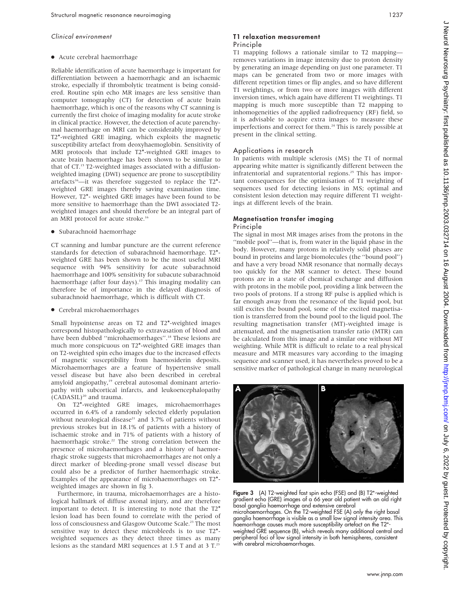#### Clinical environment

#### • Acute cerebral haemorrhage

Reliable identification of acute haemorrhage is important for differentiation between a haemorrhagic and an ischaemic stroke, especially if thrombolytic treatment is being considered. Routine spin echo MR images are less sensitive than computer tomography (CT) for detection of acute brain haemorrhage, which is one of the reasons why CT scanning is currently the first choice of imaging modality for acute stroke in clinical practice. However, the detection of acute parenchymal haemorrhage on MRI can be considerably improved by T2\*-weighted GRE imaging, which exploits the magnetic susceptibility artefact from deoxyhaemoglobin. Sensitivity of MRI protocols that include T2\*-weighted GRE images to acute brain haemorrhage has been shown to be similar to that of CT.<sup>15</sup> T2-weighted images associated with a diffusionweighted imaging (DWI) sequence are prone to susceptibility artefacts<sup>16</sup>—it was therefore suggested to replace the  $T2^*$ weighted GRE images thereby saving examination time. However, T2\*- weighted GRE images have been found to be more sensitive to haemorrhage than the DWI associated T2 weighted images and should therefore be an integral part of an MRI protocol for acute stroke.<sup>16</sup>

• Subarachnoid haemorrhage

CT scanning and lumbar puncture are the current reference standards for detection of subarachnoid haemorrhage. T2\* weighted GRE has been shown to be the most useful MRI sequence with 94% sensitivity for acute subarachnoid haemorrhage and 100% sensitivity for subacute subarachnoid haemorrhage (after four days).<sup>17</sup> This imaging modality can therefore be of importance in the delayed diagnosis of subarachnoid haemorrhage, which is difficult with CT.

#### $\bullet$  Cerebral microhaemorrhages

Small hypointense areas on T2 and T2\*-weighted images correspond histopathologically to extravasation of blood and have been dubbed ''microhaemorrhages''.18 These lesions are much more conspicuous on T2\*-weighted GRE images than on T2-weighted spin echo images due to the increased effects of magnetic susceptibility from haemosiderin deposits. Microhaemorrhages are a feature of hypertensive small vessel disease but have also been described in cerebral amyloid angiopathy,<sup>19</sup> cerebral autosomal dominant arteriopathy with subcortical infarcts, and leukoencephalopathy  $(CADASIL)^{20}$  and trauma.

On T2\*-weighted GRE images, microhaemorrhages occurred in 6.4% of a randomly selected elderly population without neurological disease<sup>21</sup> and  $3.7\%$  of patients without previous strokes but in 18.1% of patients with a history of ischaemic stroke and in 71% of patients with a history of haemorrhagic stroke.<sup>22</sup> The strong correlation between the presence of microhaemorrhages and a history of haemorrhagic stroke suggests that microhaemorrhages are not only a direct marker of bleeding-prone small vessel disease but could also be a predictor of further haemorrhagic stroke. Examples of the appearance of microhaemorrhages on T2\* weighted images are shown in fig 3.

Furthermore, in trauma, microhaemorrhages are a histological hallmark of diffuse axonal injury, and are therefore important to detect. It is interesting to note that the T2\* lesion load has been found to correlate with the period of loss of consciousness and Glasgow Outcome Scale.<sup>23</sup> The most sensitive way to detect these microbleeds is to use T2\* weighted sequences as they detect three times as many lesions as the standard MRI sequences at 1.5 T and at 3 T.<sup>23</sup>

#### T1 relaxation measurement Principle

T1 mapping follows a rationale similar to T2 mapping removes variations in image intensity due to proton density by generating an image depending on just one parameter. T1 maps can be generated from two or more images with different repetition times or flip angles, and so have different T1 weightings, or from two or more images with different inversion times, which again have different T1 weightings. T1 mapping is much more susceptible than T2 mapping to inhomogeneities of the applied radiofrequency (RF) field, so it is advisable to acquire extra images to measure these imperfections and correct for them.<sup>24</sup> This is rarely possible at present in the clinical setting.

### Applications in research

In patients with multiple sclerosis (MS) the T1 of normal appearing white matter is significantly different between the infratentorial and supratentorial regions.<sup>25</sup> This has important consequences for the optimisation of T1 weighting of sequences used for detecting lesions in MS; optimal and consistent lesion detection may require different T1 weightings at different levels of the brain.

#### Magnetisation transfer imaging

#### Principle

The signal in most MR images arises from the protons in the ''mobile pool''—that is, from water in the liquid phase in the body. However, many protons in relatively solid phases are bound in proteins and large biomolecules (the ''bound pool'') and have a very broad NMR resonance that normally decays too quickly for the MR scanner to detect. These bound protons are in a state of chemical exchange and diffusion with protons in the mobile pool, providing a link between the two pools of protons. If a strong RF pulse is applied which is far enough away from the resonance of the liquid pool, but still excites the bound pool, some of the excited magnetisation is transferred from the bound pool to the liquid pool. The resulting magnetisation transfer (MT)-weighted image is attenuated, and the magnetisation transfer ratio (MTR) can be calculated from this image and a similar one without MT weighting. While MTR is difficult to relate to a real physical measure and MTR measures vary according to the imaging sequence and scanner used, it has nevertheless proved to be a sensitive marker of pathological change in many neurological



Figure 3 (A) T2-weighted fast spin echo (FSE) and (B) T2\*-weighted gradient echo (GRE) images of a 66 year old patient with an old right basal ganglia haemorrhage and extensive cerebral

microhaemorrhages. On the T2-weighted FSE (A) only the right basal ganglia haemorrhage is visible as a small low signal intensity area. This haemorrhage causes much more susceptibility artefact on the T2\* weighted GRE sequence (B), which reveals many additional central and peripheral foci of low signal intensity in both hemispheres, consistent with cerebral microhaemorrhages.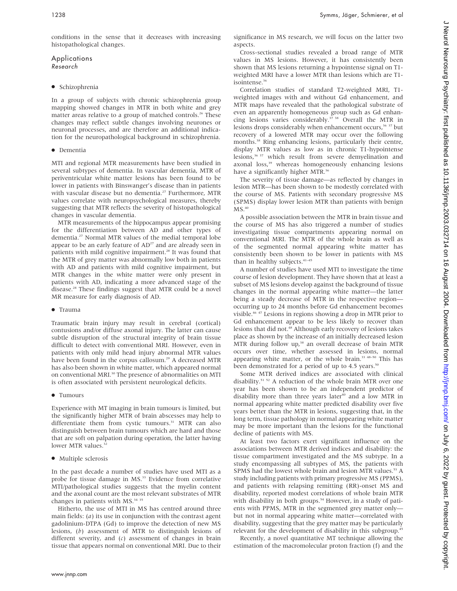conditions in the sense that it decreases with increasing histopathological changes.

# Applications Research

#### • Schizophrenia

In a group of subjects with chronic schizophrenia group mapping showed changes in MTR in both white and grey matter areas relative to a group of matched controls.<sup>26</sup> These changes may reflect subtle changes involving neurones or neuronal processes, and are therefore an additional indication for the neuropathological background in schizophrenia.

#### $\bullet$  Dementia

MTI and regional MTR measurements have been studied in several subtypes of dementia. In vascular dementia, MTR of periventricular white matter lesions has been found to be lower in patients with Binswanger's disease than in patients with vascular disease but no dementia.<sup>27</sup> Furthermore, MTR values correlate with neuropsychological measures, thereby suggesting that MTR reflects the severity of histopathological changes in vascular dementia.

MTR measurements of the hippocampus appear promising for the differentiation between AD and other types of dementia.27 Normal MTR values of the medial temporal lobe appear to be an early feature of AD<sup>27</sup> and are already seen in patients with mild cognitive impairment.<sup>28</sup> It was found that the MTR of grey matter was abnormally low both in patients with AD and patients with mild cognitive impairment, but MTR changes in the white matter were only present in patients with AD, indicating a more advanced stage of the disease.28 These findings suggest that MTR could be a novel MR measure for early diagnosis of AD.

#### $\bullet$  Trauma

Traumatic brain injury may result in cerebral (cortical) contusions and/or diffuse axonal injury. The latter can cause subtle disruption of the structural integrity of brain tissue difficult to detect with conventional MRI. However, even in patients with only mild head injury abnormal MTR values have been found in the corpus callosum.<sup>29</sup> A decreased MTR has also been shown in white matter, which appeared normal on conventional MRI.<sup>30</sup> The presence of abnormalities on MTI is often associated with persistent neurological deficits.

#### • Tumours

Experience with MT imaging in brain tumours is limited, but the significantly higher MTR of brain abscesses may help to differentiate them from cystic tumours.<sup>31</sup> MTR can also distinguish between brain tumours which are hard and those that are soft on palpation during operation, the latter having lower MTR values.<sup>3</sup>

#### • Multiple sclerosis

In the past decade a number of studies have used MTI as a probe for tissue damage in MS.<sup>33</sup> Evidence from correlative MTI/pathological studies suggests that the myelin content and the axonal count are the most relevant substrates of MTR changes in patients with MS.<sup>34 35</sup>

Hitherto, the use of MTI in MS has centred around three main fields: (a) its use in conjunction with the contrast agent gadolinium-DTPA (Gd) to improve the detection of new MS lesions, (b) assessment of MTR to distinguish lesions of different severity, and  $(c)$  assessment of changes in brain tissue that appears normal on conventional MRI. Due to their significance in MS research, we will focus on the latter two aspects.

Cross-sectional studies revealed a broad range of MTR values in MS lesions. However, it has consistently been shown that MS lesions returning a hypointense signal on T1 weighted MRI have a lower MTR than lesions which are T1 isointense.<sup>36</sup>

Correlation studies of standard T2-weighted MRI, T1 weighted images with and without Gd enhancement, and MTR maps have revealed that the pathological substrate of even an apparently homogeneous group such as Gd enhancing lesions varies considerably.37 38 Overall the MTR in lesions drops considerably when enhancement occurs,<sup>36</sup> <sup>37</sup> but recovery of a lowered MTR may occur over the following months.<sup>38</sup> Ring enhancing lesions, particularly their centre, display MTR values as low as in chronic T1-hypointense lesions,36 37 which result from severe demyelination and axonal loss,<sup>39</sup> whereas homogeneously enhancing lesions have a significantly higher MTR.<sup>36</sup>

The severity of tissue damage—as reflected by changes in lesion MTR—has been shown to be modestly correlated with the course of MS. Patients with secondary progressive MS (SPMS) display lower lesion MTR than patients with benign  $MS.<sup>40</sup>$ 

A possible association between the MTR in brain tissue and the course of MS has also triggered a number of studies investigating tissue compartments appearing normal on conventional MRI. The MTR of the whole brain as well as of the segmented normal appearing white matter has consistently been shown to be lower in patients with MS than in healthy subjects. $41-45$ 

A number of studies have used MTI to investigate the time course of lesion development. They have shown that at least a subset of MS lesions develop against the background of tissue changes in the normal appearing white matter—the latter being a steady decrease of MTR in the respective region occurring up to 24 months before Gd enhancement becomes visible.46 47 Lesions in regions showing a drop in MTR prior to Gd enhancement appear to be less likely to recover than lesions that did not.48 Although early recovery of lesions takes place as shown by the increase of an initially decreased lesion MTR during follow up,<sup>38</sup> an overall decrease of brain MTR occurs over time, whether assessed in lesions, normal appearing white matter, or the whole brain.<sup>33 48-50</sup> This has been demonstrated for a period of up to 4.5 years.<sup>50</sup>

Some MTR derived indices are associated with clinical disability.<sup>51 52</sup> A reduction of the whole brain MTR over one year has been shown to be an independent predictor of disability more than three years later<sup>40</sup> and a low MTR in normal appearing white matter predicted disability over five years better than the MTR in lesions, suggesting that, in the long term, tissue pathology in normal appearing white matter may be more important than the lesions for the functional decline of patients with MS.

At least two factors exert significant influence on the associations between MTR derived indices and disability: the tissue compartment investigated and the MS subtype. In a study encompassing all subtypes of MS, the patients with SPMS had the lowest whole brain and lesion MTR values.<sup>53</sup> A study including patients with primary progressive MS (PPMS), and patients with relapsing remitting (RR)-onset MS and disability, reported modest correlations of whole brain MTR with disability in both groups.<sup>54</sup> However, in a study of patients with PPMS, MTR in the segmented grey matter only but not in normal appearing white matter—correlated with disability, suggesting that the grey matter may be particularly relevant for the development of disability in this subgroup.<sup>45</sup>

Recently, a novel quantitative MT technique allowing the estimation of the macromolecular proton fraction (f) and the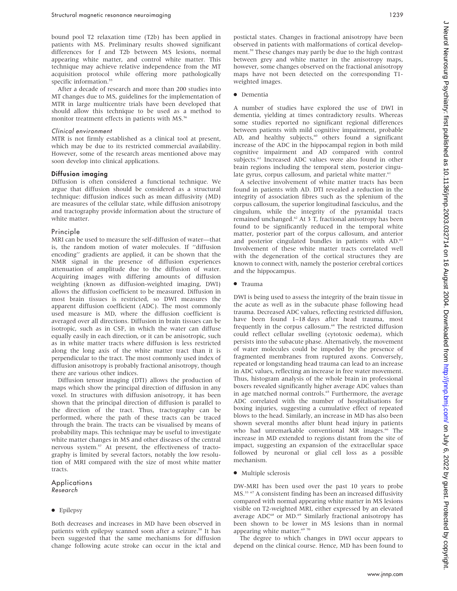bound pool T2 relaxation time (T2b) has been applied in patients with MS. Preliminary results showed significant differences for f and T2b between MS lesions, normal appearing white matter, and control white matter. This technique may achieve relative independence from the MT acquisition protocol while offering more pathologically specific information.<sup>55</sup>

After a decade of research and more than 200 studies into MT changes due to MS, guidelines for the implementation of MTR in large multicentre trials have been developed that should allow this technique to be used as a method to monitor treatment effects in patients with MS.<sup>56</sup>

#### Clinical environment

MTR is not firmly established as a clinical tool at present, which may be due to its restricted commercial availability. However, some of the research areas mentioned above may soon develop into clinical applications.

#### Diffusion imaging

Diffusion is often considered a functional technique. We argue that diffusion should be considered as a structural technique: diffusion indices such as mean diffusivity (MD) are measures of the cellular state, while diffusion anisotropy and tractography provide information about the structure of white matter.

#### Principle

MRI can be used to measure the self-diffusion of water—that is, the random motion of water molecules. If ''diffusion encoding'' gradients are applied, it can be shown that the NMR signal in the presence of diffusion experiences attenuation of amplitude due to the diffusion of water. Acquiring images with differing amounts of diffusion weighting (known as diffusion-weighted imaging, DWI) allows the diffusion coefficient to be measured. Diffusion in most brain tissues is restricted, so DWI measures the apparent diffusion coefficient (ADC). The most commonly used measure is MD, where the diffusion coefficient is averaged over all directions. Diffusion in brain tissues can be isotropic, such as in CSF, in which the water can diffuse equally easily in each direction, or it can be anisotropic, such as in white matter tracts where diffusion is less restricted along the long axis of the white matter tract than it is perpendicular to the tract. The most commonly used index of diffusion anisotropy is probably fractional anisotropy, though there are various other indices.

Diffusion tensor imaging (DTI) allows the production of maps which show the principal direction of diffusion in any voxel. In structures with diffusion anisotropy, it has been shown that the principal direction of diffusion is parallel to the direction of the tract. Thus, tractography can be performed, where the path of these tracts can be traced through the brain. The tracts can be visualised by means of probability maps. This technique may be useful to investigate white matter changes in MS and other diseases of the central nervous system.57 At present, the effectiveness of tractography is limited by several factors, notably the low resolution of MRI compared with the size of most white matter tracts.

#### Applications Research

#### $\bullet$  Epilepsy

Both decreases and increases in MD have been observed in patients with epilepsy scanned soon after a seizure.<sup>58</sup> It has been suggested that the same mechanisms for diffusion change following acute stroke can occur in the ictal and postictal states. Changes in fractional anisotropy have been observed in patients with malformations of cortical development.59 These changes may partly be due to the high contrast between grey and white matter in the anisotropy maps, however, some changes observed on the fractional anisotropy maps have not been detected on the corresponding T1 weighted images.

#### · Dementia

A number of studies have explored the use of DWI in dementia, yielding at times contradictory results. Whereas some studies reported no significant regional differences between patients with mild cognitive impairment, probable AD, and healthy subjects, $60$  others found a significant increase of the ADC in the hippocampal region in both mild cognitive impairment and AD compared with control subjects.<sup>61</sup> Increased ADC values were also found in other brain regions including the temporal stem, posterior cingulate gyrus, corpus callosum, and parietal white matter.<sup>61</sup>

A selective involvement of white matter tracts has been found in patients with AD. DTI revealed a reduction in the integrity of association fibres such as the splenium of the corpus callosum, the superior longitudinal fasciculus, and the cingulum, while the integrity of the pyramidal tracts remained unchanged.62 At 3 T, fractional anisotropy has been found to be significantly reduced in the temporal white matter, posterior part of the corpus callosum, and anterior and posterior cingulated bundles in patients with AD.<sup>63</sup> Involvement of these white matter tracts correlated well with the degeneration of the cortical structures they are known to connect with, namely the posterior cerebral cortices and the hippocampus.

 $\bullet$  Trauma

DWI is being used to assess the integrity of the brain tissue in the acute as well as in the subacute phase following head trauma. Decreased ADC values, reflecting restricted diffusion, have been found 1–18 days after head trauma, most frequently in the corpus callosum.<sup>64</sup> The restricted diffusion could reflect cellular swelling (cytotoxic oedema), which persists into the subacute phase. Alternatively, the movement of water molecules could be impeded by the presence of fragmented membranes from ruptured axons. Conversely, repeated or longstanding head trauma can lead to an increase in ADC values, reflecting an increase in free water movement. Thus, histogram analysis of the whole brain in professional boxers revealed significantly higher average ADC values than in age matched normal controls.<sup>65</sup> Furthermore, the average ADC correlated with the number of hospitalisations for boxing injuries, suggesting a cumulative effect of repeated blows to the head. Similarly, an increase in MD has also been shown several months after blunt head injury in patients who had unremarkable conventional MR images.<sup>66</sup> The increase in MD extended to regions distant from the site of impact, suggesting an expansion of the extracellular space followed by neuronal or glial cell loss as a possible mechanism.

#### • Multiple sclerosis

DW-MRI has been used over the past 10 years to probe MS.<sup>33 67</sup> A consistent finding has been an increased diffusivity compared with normal appearing white matter in MS lesions visible on T2-weighted MRI, either expressed by an elevated average ADC<sup>68</sup> or MD.<sup>69</sup> Similarly fractional anisotropy has been shown to be lower in MS lesions than in normal appearing white matter.<br>69  $^{70}$ 

The degree to which changes in DWI occur appears to depend on the clinical course. Hence, MD has been found to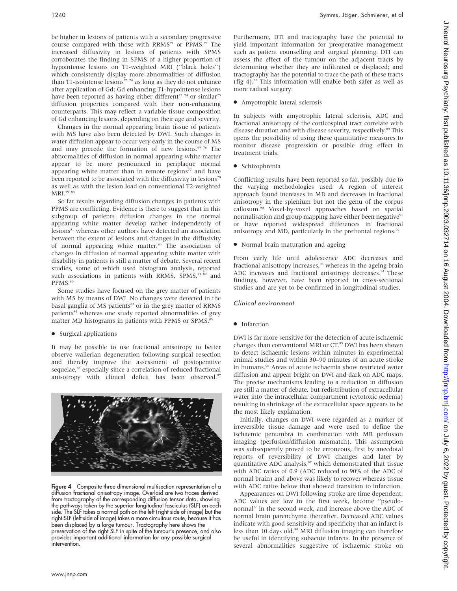be higher in lesions of patients with a secondary progressive course compared with those with RRMS<sup>71</sup> or PPMS.<sup>72</sup> The increased diffusivity in lesions of patients with SPMS corroborates the finding in SPMS of a higher proportion of hypointense lesions on T1-weighted MRI (''black holes'') which consistently display more abnormalities of diffusion than T1-isointense lesions<sup>73</sup> 74 as long as they do not enhance after application of Gd; Gd enhancing T1-hypointense lesions have been reported as having either different<sup>73</sup> <sup>74</sup> or similar<sup>75</sup> diffusion properties compared with their non-enhancing counterparts. This may reflect a variable tissue composition of Gd enhancing lesions, depending on their age and severity.

Changes in the normal appearing brain tissue of patients with MS have also been detected by DWI. Such changes in water diffusion appear to occur very early in the course of MS and may precede the formation of new lesions.<sup>69 76</sup> The abnormalities of diffusion in normal appearing white matter appear to be more pronounced in periplaque normal appearing white matter than in remote regions $77$  and have been reported to be associated with the diffusivity in lesions<sup>78</sup> as well as with the lesion load on conventional T2-weighted  $MRI.^{79}$ <sup>8</sup>

So far results regarding diffusion changes in patients with PPMS are conflicting. Evidence is there to suggest that in this subgroup of patients diffusion changes in the normal appearing white matter develop rather independently of lesions<sup>81</sup> whereas other authors have detected an association between the extent of lesions and changes in the diffusivity of normal appearing white matter.<sup>80</sup> The association of changes in diffusion of normal appearing white matter with disability in patients is still a matter of debate. Several recent studies, some of which used histogram analysis, reported such associations in patients with RRMS, SPMS,<sup>71 82</sup> and PPMS.<sup>80</sup>

Some studies have focused on the grey matter of patients with MS by means of DWI. No changes were detected in the basal ganglia of MS patients<sup>83</sup> or in the grey matter of RRMS patients<sup>84</sup> whereas one study reported abnormalities of grey matter MD histograms in patients with PPMS or SPMS.<sup>85</sup>

 $\bullet$  Surgical applications

It may be possible to use fractional anisotropy to better observe wallerian degeneration following surgical resection and thereby improve the assessment of postoperative sequelae,<sup>86</sup> especially since a correlation of reduced fractional anisotropy with clinical deficit has been observed.<sup>87</sup>



Figure 4 Composite three dimensional multisection representation of a diffusion fractional anisotropy image. Overlaid are two traces derived from tractography of the corresponding diffusion tensor data, showing the pathways taken by the superior longitudinal fasciculus (SLF) on each side. The SLF takes a normal path on the left (right side of image) but the right SLF (left side of image) takes a more circuitous route, because it has been displaced by a large tumour. Tractography here shows the preservation of the right SLF in spite of the tumour's presence, and also provides important additional information for any possible surgical intervention.

Furthermore, DTI and tractography have the potential to yield important information for preoperative management such as patient counselling and surgical planning. DTI can assess the effect of the tumour on the adjacent tracts by determining whether they are infiltrated or displaced; and tractography has the potential to trace the path of these tracts (fig 4).88 This information will enable both safer as well as more radical surgery.

• Amyotrophic lateral sclerosis

In subjects with amyotrophic lateral sclerosis, ADC and fractional anisotropy of the corticospinal tract correlate with disease duration and with disease severity, respectively.<sup>89</sup> This opens the possibility of using these quantitative measures to monitor disease progression or possible drug effect in treatment trials.

 $\bullet$  Schizophrenia

Conflicting results have been reported so far, possibly due to the varying methodologies used. A region of interest approach found increases in MD and decreases in fractional anisotropy in the splenium but not the genu of the corpus callosum.90 Voxel-by-voxel approaches based on spatial normalisation and group mapping have either been negative<sup>91</sup> or have reported widespread differences in fractional anisotropy and MD, particularly in the prefrontal regions.<sup>92</sup>

• Normal brain maturation and ageing

From early life until adolescence ADC decreases and fractional anisotropy increases,<sup>93</sup> whereas in the ageing brain ADC increases and fractional anisotropy decreases.<sup>94</sup> These findings, however, have been reported in cross-sectional studies and are yet to be confirmed in longitudinal studies.

# Clinical environment

# $\bullet$  Infarction

DWI is far more sensitive for the detection of acute ischaemic changes than conventional MRI or CT.<sup>95</sup> DWI has been shown to detect ischaemic lesions within minutes in experimental animal studies and within 30–90 minutes of an acute stroke in humans.<sup>96</sup> Areas of acute ischaemia show restricted water diffusion and appear bright on DWI and dark on ADC maps. The precise mechanisms leading to a reduction in diffusion are still a matter of debate, but redistribution of extracellular water into the intracellular compartment (cytotoxic oedema) resulting in shrinkage of the extracellular space appears to be the most likely explanation.

Initially, changes on DWI were regarded as a marker of irreversible tissue damage and were used to define the ischaemic penumbra in combination with MR perfusion imaging (perfusion/diffusion mismatch). This assumption was subsequently proved to be erroneous, first by anecdotal reports of reversibility of DWI changes and later by quantitative ADC analysis,<sup>97</sup> which demonstrated that tissue with ADC ratios of 0.9 (ADC reduced to 90% of the ADC of normal brain) and above was likely to recover whereas tissue with ADC ratios below that showed transition to infarction.

Appearances on DWI following stroke are time dependent: ADC values are low in the first week, become ''pseudonormal'' in the second week, and increase above the ADC of normal brain parenchyma thereafter. Decreased ADC values indicate with good sensitivity and specificity that an infarct is less than 10 days old.<sup>98</sup> MRI diffusion imaging can therefore be useful in identifying subacute infarcts. In the presence of several abnormalities suggestive of ischaemic stroke on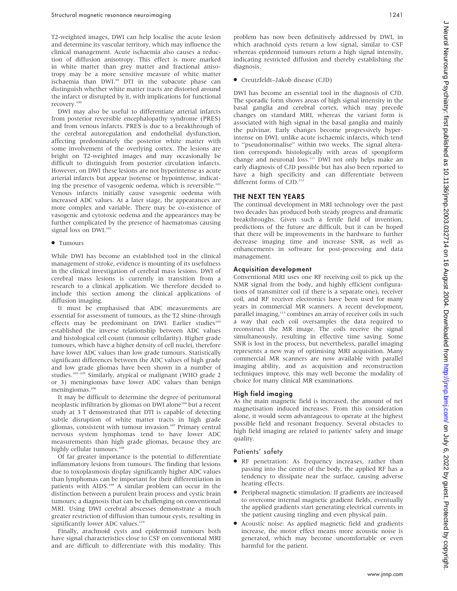T2-weighted images, DWI can help localise the acute lesion and determine its vascular territory, which may influence the clinical management. Acute ischaemia also causes a reduction of diffusion anisotropy. This effect is more marked in white matter than grey matter and fractional anisotropy may be a more sensitive measure of white matter ischaemia than DWI.99 DTI in the subacute phase can distinguish whether white matter tracts are distorted around the infarct or disrupted by it, with implications for functional recovery.100

DWI may also be useful to differentiate arterial infarcts from posterior reversible encephalopathy syndrome (PRES) and from venous infarcts. PRES is due to a breakthrough of the cerebral autoregulation and endothelial dysfunction, affecting predominately the posterior white matter with some involvement of the overlying cortex. The lesions are bright on T2-weighted images and may occasionally be difficult to distinguish from posterior circulation infarcts. However, on DWI these lesions are not hyperintense as acute arterial infarcts but appear isotense or hypointense, indicating the presence of vasogenic oedema, which is reversible.<sup>101</sup> Venous infarcts initially cause vasogenic oedema with increased ADC values. At a later stage, the appearances are more complex and variable. There may be co-existence of vasogenic and cytotoxic oedema and the appearances may be further complicated by the presence of haematomas causing signal loss on DWI.<sup>102</sup>

#### $\bullet$  Tumours

While DWI has become an established tool in the clinical management of stroke, evidence is mounting of its usefulness in the clinical investigation of cerebral mass lesions. DWI of cerebral mass lesions is currently in transition from a research to a clinical application. We therefore decided to include this section among the clinical applications of diffusion imaging.

It must be emphasised that ADC measurements are essential for assessment of tumours, as the T2 shine-through effects may be predominant on DWI. Earlier studies<sup>103</sup> established the inverse relationship between ADC values and histological cell count (tumour cellularity). Higher grade tumours, which have a higher density of cell nuclei, therefore have lower ADC values than low grade tumours. Statistically significant differences between the ADC values of high grade and low grade gliomas have been shown in a number of studies.<sup>103-105</sup> Similarly, atypical or malignant (WHO grade 2 or 3) meningiomas have lower ADC values than benign meningiomas.106

It may be difficult to determine the degree of peritumoral neoplastic infiltration by gliomas on DWI alone $^{104}$  but a recent study at 3 T demonstrated that DTI is capable of detecting subtle disruption of white matter tracts in high grade gliomas, consistent with tumour invasion.<sup>107</sup> Primary central nervous system lymphomas tend to have lower ADC measurements than high grade gliomas, because they are highly cellular tumours.<sup>108</sup>

Of far greater importance is the potential to differentiate inflammatory lesions from tumours. The finding that lesions due to toxoplasmosis display significantly higher ADC values than lymphomas can be important for their differentiation in patients with AIDS.109 A similar problem can occur in the distinction between a purulent brain process and cystic brain tumours; a diagnosis that can be challenging on conventional MRI. Using DWI cerebral abscesses demonstrate a much greater restriction of diffusion than tumour cysts, resulting in significantly lower ADC values.<sup>110</sup>

Finally, arachnoid cysts and epidermoid tumours both have signal characteristics close to CSF on conventional MRI and are difficult to differentiate with this modality. This problem has now been definitively addressed by DWI, in which arachnoid cysts return a low signal, similar to CSF whereas epidermoid tumours return a high signal intensity, indicating restricted diffusion and thereby establishing the diagnosis.

● Creutzfeldt–Jakob disease (CJD)

DWI has become an essential tool in the diagnosis of CJD. The sporadic form shows areas of high signal intensity in the basal ganglia and cerebral cortex, which may precede changes on standard MRI, whereas the variant form is associated with high signal in the basal ganglia and mainly the pulvinar. Early changes become progressively hyperintense on DWI, unlike acute ischaemic infarcts, which tend to ''pseudonormalise'' within two weeks. The signal alteration corresponds histologically with areas of spongiform change and neuronal loss.111 DWI not only helps make an early diagnosis of CJD possible but has also been reported to have a high specificity and can differentiate between different forms of CJD.<sup>11</sup>

#### THE NEXT TEN YEARS

The continual development in MRI technology over the past two decades has produced both steady progress and dramatic breakthroughs. Given such a fertile field of invention, predictions of the future are difficult, but it can be hoped that there will be improvements in the hardware to further decrease imaging time and increase SNR, as well as enhancements in software for post-processing and data management.

#### Acquisition development

Conventional MRI uses one RF receiving coil to pick up the NMR signal from the body, and highly efficient configurations of transmitter coil (if there is a separate one), receiver coil, and RF receiver electronics have been used for many years in commercial MR scanners. A recent development, parallel imaging,<sup>113</sup> combines an array of receiver coils in such a way that each coil oversamples the data required to reconstruct the MR image. The coils receive the signal simultaneously, resulting in effective time saving. Some SNR is lost in the process, but nevertheless, parallel imaging represents a new way of optimising MRI acquisition. Many commercial MR scanners are now available with parallel imaging ability, and as acquisition and reconstruction techniques improve, this may well become the modality of choice for many clinical MR examinations.

#### High field imaging

As the main magnetic field is increased, the amount of net magnetisation induced increases. From this consideration alone, it would seem advantageous to operate at the highest possible field and resonant frequency. Several obstacles to high field imaging are related to patients' safety and image quality.

### Patients' safety

- RF penetration: As frequency increases, rather than passing into the centre of the body, the applied RF has a tendency to dissipate near the surface, causing adverse heating effects.
- N Peripheral magnetic stimulation: If gradients are increased to overcome internal magnetic gradient fields, eventually the applied gradients start generating electrical currents in the patient causing tingling and even physical pain.
- N Acoustic noise: As applied magnetic field and gradients increase, the motor effect means more acoustic noise is generated, which may become uncomfortable or even harmful for the patient.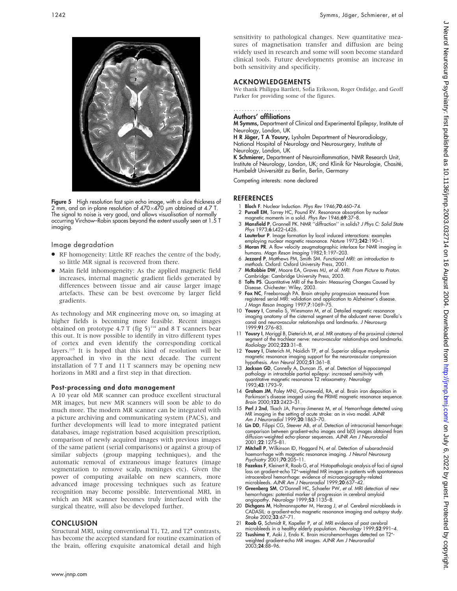

1242 Symms, Jäger, Schmierer, et al. Symms, Jäger, Schmierer, et al. Symms, Jäger, Schmierer, et al. Symms, Jäger, Schmierer, et al. Symms, Jäger, Schmierer, et al. Symms, Jäger, Schmierer, et al. Symms, Jäger, Schmierer,

Figure 5 High resolution fast spin echo image, with a slice thickness of 2 mm, and an in-plane resolution of  $470\times470$  µm obtained at 4.7 T. The signal to noise is very good, and allows visualisation of normally occurring Virchow–Robin spaces beyond the extent usually seen at 1.5 T imaging.

#### Image degradation

- N RF homogeneity: Little RF reaches the centre of the body, so little MR signal is recovered from there.
- $\bullet$  Main field inhomogeneity: As the applied magnetic field increases, internal magnetic gradient fields generated by differences between tissue and air cause larger image artefacts. These can be best overcome by larger field gradients.

As technology and MR engineering move on, so imaging at higher fields is becoming more feasible. Recent images obtained on prototype 4.7 T (fig 5)<sup>114</sup> and 8 T scanners bear this out. It is now possible to identify in vitro different types of cortex and even identify the corresponding cortical layers.115 It is hoped that this kind of resolution will be approached in vivo in the next decade. The current installation of 7 T and 11 T scanners may be opening new horizons in MRI and a first step in that direction.

#### Post-processing and data management

A 10 year old MR scanner can produce excellent structural MR images, but new MR scanners will soon be able to do much more. The modern MR scanner can be integrated with a picture archiving and communicating system (PACS), and further developments will lead to more integrated patient databases, image registration based acquisition prescription, comparison of newly acquired images with previous images of the same patient (serial comparisons) or against a group of similar subjects (group mapping techniques), and the automatic removal of extraneous image features (image segmentation to remove scalp, meninges etc). Given the power of computing available on new scanners, more advanced image processing techniques such as feature recognition may become possible. Interventional MRI, in which an MR scanner becomes truly interfaced with the surgical theatre, will also be developed further.

# **CONCLUSION**

Structural MRI, using conventional T1, T2, and T2\* contrasts, has become the accepted standard for routine examination of the brain, offering exquisite anatomical detail and high sensitivity to pathological changes. New quantitative measures of magnetisation transfer and diffusion are being widely used in research and some will soon become standard clinical tools. Future developments promise an increase in both sensitivity and specificity.

# ACKNOWLEDGEMENTS

We thank Philippa Bartlett, Sofia Eriksson, Roger Ordidge, and Geoff Parker for providing some of the figures.

#### Authors' affiliations .....................

M Symms, Department of Clinical and Experimental Epilepsy, Institute of Neurology, London, UK

H R Jäger, T A Yousry, Lysholm Department of Neuroradiology, National Hospital of Neurology and Neurosurgery, Institute of

Neurology, London, UK K Schmierer, Department of Neuroinflammation, NMR Research Unit, Institute of Neurology, London, UK; and Klinik für Neurologie, Chasité, Humbeldt Universität zu Berlin, Berlin, Germany

Competing interests: none declared

#### REFERENCES

- 1 Bloch F. Nuclear Induction. Phys Rev 1946;70:460-74.
- 2 Purcell EM, Torrey HC, Pound RV. Resonance absorption by nuclear
- magnetic moments in a solid. Phys Rev 1946;**69**:37–8.<br>3 M**ansfield P**, Grannell PK. NMR ''diffraction'' in solids? *J* Phys C: Solid State Phys 1973;6:L422-L426.
- 4 Lauterbur P. Image formation by local induced interactions: examples employing nuclear magnetic resonance. Nature 1973;242:190–1.
- 5 Moran PR. A flow velocity zeugmatographic interlace for NMR imaging in humans. Magn Reson Imaging 1982;1:197–203.
- 6 Jezzard P, Matthews PM, Smith SM. Functional MRI: an introduction to methods. Oxford: Oxford University Press, 2001.
- 7 McRobbie DW, Moore EA, Graves MJ, et al. MRI: From Picture to Proton. Cambridge: Cambridge University Press, 2003.
- 8 Tofts PS. Quantitative MRI of the Brain: Measuring Changes Caused by Disease. Chichester: Wiley, 2003.
- 9 Fox NC, Freeborough PA. Brain atrophy progression measured from registered serial MRI: validation and application to Alzheimer's disease. J Magn Reson Imaging 1997;7:1069–75.
- 10 Yousry I, Camelio S, Wiesmann M, et al. Detailed magnetic resonance imaging anatomy of the cisternal segment of the abducent nerve: Dorello's canal and neurovascular relationships and landmarks. J Neurosurg 1999;91:276–83.
- 11 Yousry I, Moriggl B, Dieterich M, et al. MR anatomy of the proximal cisternal segment of the trochlear nerve: neurovascular relationships and landmarks. Radiology 2002;223:31–8.
- 12 Yousry I, Dieterich M, Naidich TP, et al. Superior oblique myokymia magnetic resonance imaging support for the neurovascular compression hypothesis. Ann Neurol 2002;51:361-8.
- 13 Jackson GD, Connelly A, Duncan JS, et al. Detection of hippocampal pathology in intractable partial epilepsy: increased sensitivity with quantitative magnetic resonance T2 relaxometry. Ne*urology*<br>1993;**43**:1793–9.
- 14 Graham JM, Paley MNJ, Grunewald, RA, et al. Brain iron deposition in Parkinson's disease imaged using the PRIME magnetic resonance sequence.<br>*Brain* 2000;**123**:2423–31.
- 15 Perl J 2nd, Tkach JA, Porras-Jimenez M, et al. Hemorrhage detected using MR imaging in the setting of acute stroke: an in vivo model. AJNR<br>Am J Neuroradiol 1999;**20**:1863–70.
- 16 Lin DD, Filippi CG, Steever AB, et al. Detection of intracranial hemorrhage: comparison between gradient-echo images and b(0) images obtained from diffusion-weighted echo-planar sequences. AJNR Am J Neuroradiol 2001;22:1275–81.
- 17 Mitchell P, Wilkinson ID, Hoggard N, et al. Detection of subarachnoid haemorrhage with magnetic resonance imaging. *J Neurol Neurosurg*<br>*Psychiatry* 2001;**70**:205–11.
- 18 Fazekas F, Kleinert R, Roob G, et al. Histopathologic analysis of foci of signal loss on gradient-echo T2\*-weighted MR images in patients with spontaneous intracerebral hemorrhage: evidence of microangiography-related<br>microbleeds. AJNR Am J Neuroradiol 1999;**20**:637–42.
- 19 Greenberg SM, O'Donnell HC, Schaefer PW, et al. MRI detection of new hemorrhages: potential marker of progression in cerebral amyloid<br>angiopathy. Neurology 1999;**53**:1135–8.
- 20 Dichgans M, Holtmannspotter M, Herzog J, et al. Cerebral microbleeds in CADASIL: a gradient-echo magnetic resonance imaging and autopsy study. Stroke 2002;33:67–71.
- 21 Roob G, Schmidt R, Kapeller P, et al. MRI evidence of past cerebral microbleeds in a healthy elderly population. Neurology 1999;52:991–4.
- 22 Tsushima Y, Aoki J, Endo K. Brain microhemorrhages detected on T2\* weighted gradient-echo MR images. *AJNR Am J Neuroradiol*<br>2003;**24**:88–96.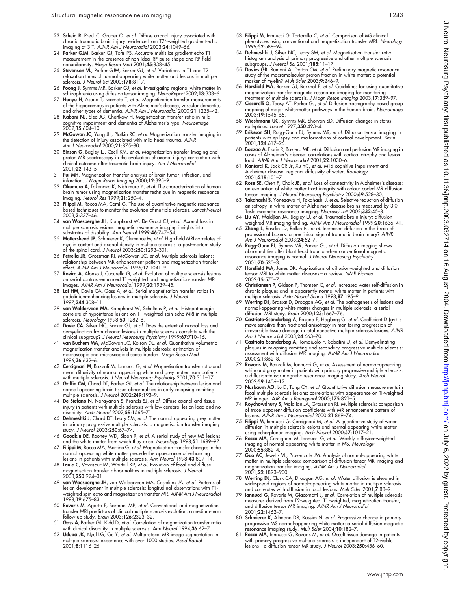- 23 Scheid R, Preul C, Gruber O, et al. Diffuse axonal injury associated with chronic traumatic brain injury: evidence from T2\*-weighted gradient-echo imaging at 3 T. AJNR Am J Neuroradiol 2003;24:1049–56.
- 24 Parker GJM, Barker GJ, Tofts PS. Accurate multislice gradient echo T1 measurement in the presence of non-ideal RF pulse shape and RF field nonuniformity. Magn Reson Med 2001;45:838-45.
- 25 Stevenson VL, Parker GJM, Barker GJ, et al. Variations in T1 and T2 relaxation times of normal appearing white matter and lesions in multiple<br>sclerosis. *J Neurol Sci* 2000;**178**:81–7.
- 26 Foong J, Symms MR, Barker GJ, et al. Investigating regional white matter in schizophrenia using diffusion tensor imaging. NeuroReport 2002;13:333–6.
- 27 Hanyu H, Asano T, Iwamoto T, et al. Magnetization transfer measurements of the hippocampus in patients with Alzheimer's disease, vascular dementia, and other types of dementia. *AJNR Am J Neuroradiol* 2000;**21**:1235–42.<br>28 **Kabani NJ**, Sled JG, Chertkow H. Magnetization transfer ratio in mild
- cognitive impairment and dementia of Alzheimer's type. Neuroimage 2002;15:604–10.
- 29 McGowan JC, Yang JH, Plotkin RC, et al. Magnetization transfer imaging in<br>the detection of injury associated with mild head trauma. AJNR<br>Am J Neuroradiol 2000;21:875–80.
- 30 Sinson G, Bagley LJ, Cecil KM, et al. Magnetization transfer imaging and proton MR spectroscopy in the evaluation of axonal injury: correlation with clinical outcome after traumatic brain injury. Am J Neuroradiol 2001;22:143–51.
- 31 Pui MH. Magnetization transfer analysis of brain tumor, infection, and nfarction. J Magn Reson Imaging 2000;12:395-9.
- 32 Okumura A, Takenaka K, Nishimura Y, et al. The characterization of human brain tumor using magnetization transter technique in magnetic resonance<br>imaging. *Neurol Res* 1999;**21**:250–4.
- 33 Filippi M, Rocca MA, Comi G. The use of quantitative magnetic-resonancebased techniques to monitor the evolution of multiple sclerosis. Lancet Neurol 2003;2:337–46.
- 34 van Waesberghe JH, Kamphorst W, De Groot CJ, et al. Axonal loss in multiple sclerosis lesions: magnetic resonance imaging insights into substrates of disability. Ann Neurol 1999;46:747–54.
- 35 Mottershead JP, Schmierer K, Clemence M, et al. High field MRI correlates of myelin content and axonal density in multiple sclerosis: a post-mortem study of the spinal cord. J Neurol 2003;250:1293–301.
- 36 Petrella JR, Grossman RI, McGowan JC, et al. Multiple sclerosis lesions: relationship between MR enhancement pattern and magnetization transfer effect. AJNR Am J Neuroradiol 1996;17:1041–9.
- 37 Rovira A, Alonso J, Cucurella G, et al. Evolution of multiple sclerosis lesions on serial contrast-enhanced T1-weighted and magnetization-transfer MR images. AJNR Am J Neuroradiol 1999;20:1939–45.
- 38 Lai HM, Davie CA, Gass A, et al. Serial magnetisation transfer ratios in gadolinium-enhancing lesions in multiple sclerosis. *J Neurol*<br>1997;**244**:308–11.
- 39 van Walderveen MA, Kamphorst W, Scheltens P, et al. Histopathologic correlate of hypointense lesions on T1-weighted spin-echo MRI in multiple
- sclerosis. Neurology 1998;**50**:1282–8.<br>40 **Davie CA**, Silver NC, Barker GJ, *et al.* Does the extent of axonal loss and demyelination from chronic lesions in multiple sclerosis correlate with the clinical subgroup? J Neurol Neurosurg Psychiatry 1999;67:710-15.
- 41 van Buchem MA, McGowan JC, Kolson DL, et al. Quantitative volumetric magnetization transfer analysis in multiple sclerosis: estimation of macroscopic and microscopic disease burden. Magn Reson Med 1996;36:632–6.
- 42 Cercignani M, Bozzali M, Iannucci G, et al. Magnetisation transfer ratio and mean diffusivity of normal appearing white and grey matter from patients vith multiple sclerosis. J Neurol Neurosurg Psychiatry 2001;70:311-17.
- 43 Griffin CM, Chard DT, Parker GJ, et al. The relationship between lesion and normal appearing brain tissue abnormalities in early relapsing remitting multiple sclerosis. J Neurol 2002;249:193–9.
- 44 De Stefano N, Narayanan S, Francis SJ, et al. Diffuse axonal and tissue injury in patients with multiple sclerosis with low cerebral lesion load and no disability. Arch Neurol 2002;59:1565–71.
- 45 Dehmeshki J, Chard DT, Leary SM, et al. The normal appearing grey matter in primary progressive multiple sclerosis: a magnetisation transfer imaging
- study. J Neurol 2003;**250**:67–74.<br>46 **Goodkin DE**, Rooney WD, Sloan R, *et al.* A serial study of new MS lesions<br>1998;**51**:1689–97. and the white matter from which they arise. Neurology 1998;**51**:1689–97.
- 47 Filippi M, Rocca MA, Martino G, et al. Magnetization transfer changes in the normal appearing white matter precede the appearance of enhancing
- lesions in patients with multiple sclerosis. Ann Neurol 1998;43:809–14.<br>48 Laule C, Vavasour IM, Whittall KP, *et al.* Evolution of focal and diffuse magnetisation transfer abnormalities in multiple sclerosis. J Neurol 2003;250:924–31.
- 49 van Waesberghe JH, van Walderveen MA, Castelijns JA, et al. Patterns of lesion development in multiple sclerosis: longitudinal observations with T1-<br>weighted spin-echo and magnetization transfer MR. *AJNR Am J Neuroradio*l 1998;19:675–83.
- 50 Rovaris M, Agosta F, Sormani MP, et al. Conventional and magnetization transfer MRI predictors of clinical multiple sclerosis evolution: a medium-term follow-up study. Brain 2003;126:2323–32.
- 51 Gass A, Barker GJ, Kidd D, et al. Correlation of magnetization transfer ratio with clinical disability in multiple sclerosis. Ann Neurol 1994;36:62-7
- 52 Udupa JK, Nyul LG, Ge Y, et al. Multiprotocol MR image segmentation in multiple sclerosis: experience with over 1000 studies. Acad Radiol 2001;8:1116–26.
- 53 Filippi M, Iannucci G, Tortorella C, et al. Comparison of MS clinical phenotypes using conventional and magnetization transfer MRI. Neurology 1999:**52**:588–94
- 54 Dehmeshki J, Silver NC, Leary SM, et al. Magnetisation transfer ratio histogram analysis of primary progressive and other multiple sclerosis subgroups. J Neurol Sci 2001;185:11–17.
- 55 **Davies GR**, Ramani A, Dalton CM, *et al.* Preliminary magnetic resonance<br>study of the macromolecular proton fraction in white matter: a potential<br>marker of myelin? Mult Scler 2003;9:246–9.
- 56 Horsfield MA, Barker GJ, Barkhof F, et al. Guidelines for using quantitative magnetization transfer magnetic resonance imaging for monitoring treatment of multiple sclerosis. J Magn Reson Imaging 2003;17:389–97.
- 57 Ciccarelli O, Toosy AT, Parker GJ, et al. Diffusion tractography based group mapping of major white-matter pathways in the human brain. Ne*uroimage*<br>2003;**19**:1545–55.
- 58 Wieshmann UC, Symms MR, Shorvon SD. Diffusion changes in status epilepticus. Lancet 1997;350:493–4.
- 59 Eriksson SH, Rugg-Gunn EJ, Symms MR, et al. Diffusion tensor imaging in patients with epilepsy and malformations of cortical development. Brain 2001;124:617–26.
- 60 Bozzao A, Floris R, Baviera ME, et al. Diffusion and perfusion MR imaging in cases of Alzheimer's disease: correlations with cortical atrophy and lesion<br>load. A/NR Am J Neuroradiol 2001;22:1030-6.<br>61 **Kantarci K**, Jack CR Jr, Xu YC, et al. Mild cognitive impairment and<br>Alzheimer disease: regional d
- 2001;219:101–7.
- 62 Rose SE, Chen F, Chalk JB, et al. Loss of connectivity in Alzheimer's disease: an evaluation of white matter tract integrity with colour coded MR diffusion
- tensor imaging. *J Neurol Neurosurg Psychiatry* 2000;**69**:528–30.<br>63 **Takahashi S**, Yonezawa H, Takahashi J, *et al.* Selective reduction of diffusion anisotropy in white matter of Alzheimer disease brains measured by 3.0<br>Tesla magnetic resonance imaging. Neurosci Lett 2002;**332**:45–8.<br>64 Liu AY, Maldjian JA, Bagley LJ, *et al.* Traumatic brain injury; diffusion-
- 
- weighted MR imaging finding. AJNR Am J Neuroradiol 1999;**20**:1636–41.<br>65 **Zhang L**, Ravdin LD, Relkin N, *et al.* Increased diffusion in the brain of professional boxers: a preclinical sign of traumatic brain injury? AJNR Am J Neuroradiol 2003;24:52–7.
- 66 Rugg-Gunn FJ, Symms MR, Barker GJ, et al. Diffusion imaging shows abnormalities after blunt head trauma when conventional magnetic<br>resonance imaging is normal. *J Neurol Neurosurg Psychiatry*<br>2001;**70**:530–3.
- 67 Horsfield MA, Jones DK. Applications of diffusion-weighted and diffusion tensor MRI to white matter diseases—a review. NMR Biomed 2002;15:570–7.
- Christiansen P, Gideon P, Thomsen C, et al. Increased water self-diffusion in chronic plaques and in apparently normal white matter in patients with multiple sclerosis. Acta Neurol Scand 1993;87:195–9.
- 69 Werring DJ, Brassat D, Droogan AG, et al. The pathogenesis of lesions and normal-appearing white matter changes in multiple sclerosis: a serial<br>diffusion MRI study. *Brain* 2000;**123**:1667–76.
- 70 Castriota-Scanderbeg A, Fasano F, Hagberg G, et al. Coefficient D (av) is move sensitive than fractional anisotropy in monitoring progression of irreversible tissue damage in total nonactive multiple sclerosis lesions. AJNR Am J Neuroradiol 2003;24:663–70.
- 71 Castriota-Scanderbeg A, Tomaiuolo F, Sabatini U, et al. Demyelinating plaques in relapsing-remitting and secondary-progressive multiple sclerosis: assessment with diffusion MR imaging. AJNR Am J Neuroradiol 2000;21:862–8.
- 72 Rovaris M, Bozzali M, Iannucci G, et al. Assessment of normal-appearing white and gray matter in patients with primary progressive multiple sclerosis: a diffusion-tensor magnetic resonance imaging study. Arch Neurol 2002;59:1406–12.
- 73 Nusbaum AO, Lu D, Tang CY, et al. Quantitative diffusion measurements in focal multiple sclerosis lesions: correlations with appearance on TI-weighted
- MR images. AJR Am J Roentgenol 2000;**175**:821–5.<br>74 **Roychowdhury S**, Maldjian JA, Grossman RI. Multiple sclerosis: comparison<br>of trace apparent diffusion coefficients with MR enhancement pattern of lesions. AJNR Am J Neuroradiol 2000;21:869–74.
- 75 Filippi M, Iannucci G, Cercignani M, et al. A quantitative study of water diffusion in multiple sclerosis lesions and normal-appearing white matter<br>using echo-planar imaging. *Arch Neurol* 2000;**57**:1017–21.
- 76 Rocca MA, Cercignani M, Iannucci G, et al. Weekly diffusion-weighted imaging of normal-appearing white matter in MS. Ne*urology*<br>2000;**55**:882–4.
- 77 Guo AC, Jewells VL, Provenzale JM. Analysis of normal-appearing white matter in multiple sclerosis: comparison of diffusion tensor MR imaging and magnetization transfer imaging. AJNR Am J Neuroradiol 2001;22:1893–900.
- 78 Werring DJ, Clark CA, Droogan AG, et al. Water diffusion is elevated in
- widespread regions of normal-appearing white matter in multiple sclerosis<br>and correlates with diffusion in focal lesions. *Mult Scler* 2001;7:83–9.<br>79 **Ianuaci G**, Rovaris M, Giacomotti L, et al. Correlation of multiple sc 2001:22:1462-7.
- 80 Schmierer K, Altmann DR, Kassim N, et al. Progressive change in primary progressive MS normal-appearing white matter: a serial diffusion magnetic<br>resonance imaging study. *Mult Scler* 2004;**10**:182–7.
- 81 Rocca MA, Iannucci G, Rovaris M, et al. Occult tissue damage in patients with primary progressive multiple sclerosis is independent of T2-visible lesions—a diffusion tensor MR study. J Neurol 2003;250:456–60.